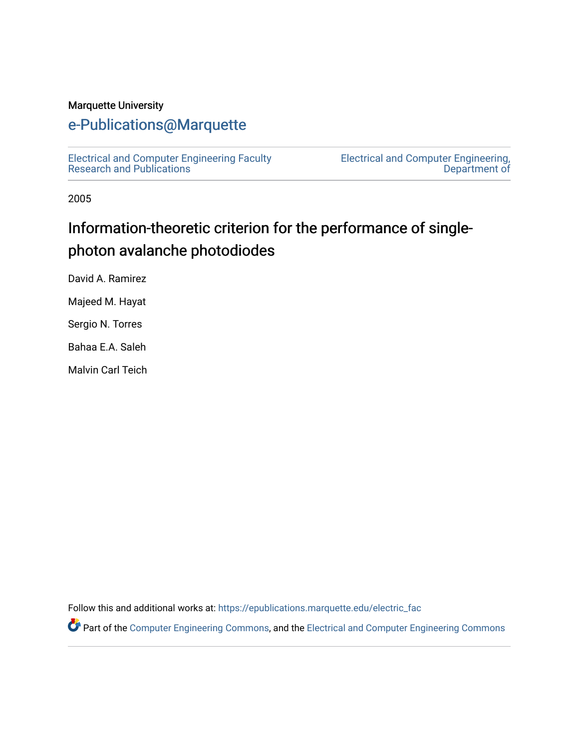#### Marquette University

#### [e-Publications@Marquette](https://epublications.marquette.edu/)

[Electrical and Computer Engineering Faculty](https://epublications.marquette.edu/electric_fac) [Research and Publications](https://epublications.marquette.edu/electric_fac) 

[Electrical and Computer Engineering,](https://epublications.marquette.edu/electric)  [Department of](https://epublications.marquette.edu/electric) 

2005

# Information-theoretic criterion for the performance of singlephoton avalanche photodiodes

David A. Ramirez

Majeed M. Hayat

Sergio N. Torres

Bahaa E.A. Saleh

Malvin Carl Teich

Follow this and additional works at: [https://epublications.marquette.edu/electric\\_fac](https://epublications.marquette.edu/electric_fac?utm_source=epublications.marquette.edu%2Felectric_fac%2F539&utm_medium=PDF&utm_campaign=PDFCoverPages) 

Part of the [Computer Engineering Commons,](http://network.bepress.com/hgg/discipline/258?utm_source=epublications.marquette.edu%2Felectric_fac%2F539&utm_medium=PDF&utm_campaign=PDFCoverPages) and the [Electrical and Computer Engineering Commons](http://network.bepress.com/hgg/discipline/266?utm_source=epublications.marquette.edu%2Felectric_fac%2F539&utm_medium=PDF&utm_campaign=PDFCoverPages)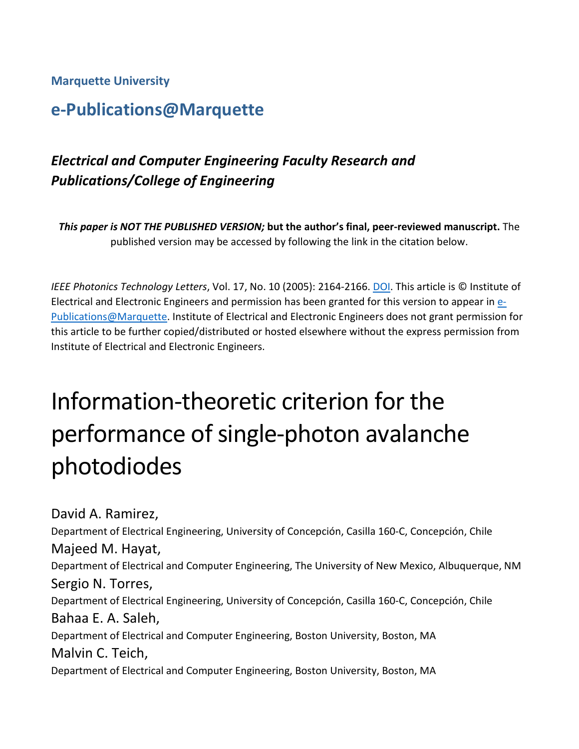**Marquette University**

## **e-Publications@Marquette**

## *Electrical and Computer Engineering Faculty Research and Publications/College of Engineering*

*This paper is NOT THE PUBLISHED VERSION;* **but the author's final, peer-reviewed manuscript.** The published version may be accessed by following the link in the citation below.

*IEEE Photonics Technology Letters*, Vol. 17, No. 10 (2005): 2164-2166. [DOI.](https://dx.doi.org/10.1109/LPT.2005.856406) This article is © Institute of Electrical and Electronic Engineers and permission has been granted for this version to appear in [e-](http://epublications.marquette.edu/)[Publications@Marquette.](http://epublications.marquette.edu/) Institute of Electrical and Electronic Engineers does not grant permission for this article to be further copied/distributed or hosted elsewhere without the express permission from Institute of Electrical and Electronic Engineers.

# Information-theoretic criterion for the performance of single-photon avalanche photodiodes

David A. Ramirez, Department of Electrical Engineering, University of Concepción, Casilla 160-C, Concepción, Chile Majeed M. Hayat, Department of Electrical and Computer Engineering, The University of New Mexico, Albuquerque, NM Sergio N. Torres, Department of Electrical Engineering, University of Concepción, Casilla 160-C, Concepción, Chile Bahaa E. A. Saleh, Department of Electrical and Computer Engineering, Boston University, Boston, MA Malvin C. Teich, Department of Electrical and Computer Engineering, Boston University, Boston, MA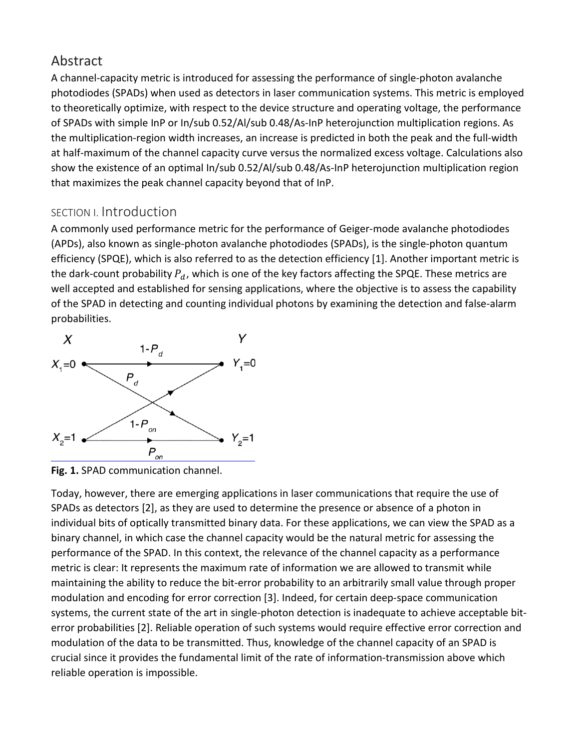## Abstract

A channel-capacity metric is introduced for assessing the performance of single-photon avalanche photodiodes (SPADs) when used as detectors in laser communication systems. This metric is employed to theoretically optimize, with respect to the device structure and operating voltage, the performance of SPADs with simple InP or In/sub 0.52/Al/sub 0.48/As-InP heterojunction multiplication regions. As the multiplication-region width increases, an increase is predicted in both the peak and the full-width at half-maximum of the channel capacity curve versus the normalized excess voltage. Calculations also show the existence of an optimal In/sub 0.52/Al/sub 0.48/As-InP heterojunction multiplication region that maximizes the peak channel capacity beyond that of InP.

#### SECTION I. Introduction

A commonly used performance metric for the performance of Geiger-mode avalanche photodiodes (APDs), also known as single-photon avalanche photodiodes (SPADs), is the single-photon quantum efficiency (SPQE), which is also referred to as the detection efficiency [1]. Another important metric is the dark-count probability  $P_d$ , which is one of the key factors affecting the SPQE. These metrics are well accepted and established for sensing applications, where the objective is to assess the capability of the SPAD in detecting and counting individual photons by examining the detection and false-alarm probabilities.



**Fig. 1.** SPAD communication channel.

Today, however, there are emerging applications in laser communications that require the use of SPADs as detectors [2], as they are used to determine the presence or absence of a photon in individual bits of optically transmitted binary data. For these applications, we can view the SPAD as a binary channel, in which case the channel capacity would be the natural metric for assessing the performance of the SPAD. In this context, the relevance of the channel capacity as a performance metric is clear: It represents the maximum rate of information we are allowed to transmit while maintaining the ability to reduce the bit-error probability to an arbitrarily small value through proper modulation and encoding for error correction [3]. Indeed, for certain deep-space communication systems, the current state of the art in single-photon detection is inadequate to achieve acceptable biterror probabilities [2]. Reliable operation of such systems would require effective error correction and modulation of the data to be transmitted. Thus, knowledge of the channel capacity of an SPAD is crucial since it provides the fundamental limit of the rate of information-transmission above which reliable operation is impossible.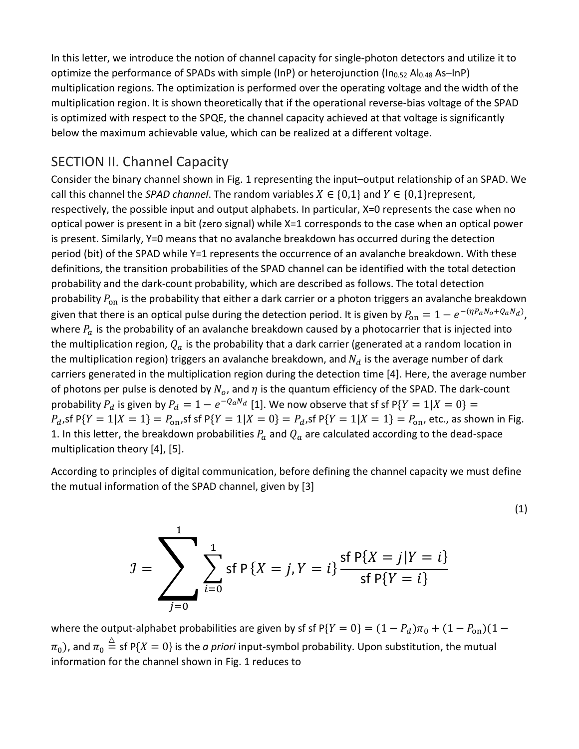In this letter, we introduce the notion of channel capacity for single-photon detectors and utilize it to optimize the performance of SPADs with simple (InP) or heterojunction (In<sub>0.52</sub> Al<sub>0.48</sub> As-InP) multiplication regions. The optimization is performed over the operating voltage and the width of the multiplication region. It is shown theoretically that if the operational reverse-bias voltage of the SPAD is optimized with respect to the SPQE, the channel capacity achieved at that voltage is significantly below the maximum achievable value, which can be realized at a different voltage.

#### SECTION II. Channel Capacity

Consider the binary channel shown in Fig. 1 representing the input–output relationship of an SPAD. We call this channel the *SPAD channel*. The random variables  $X \in \{0,1\}$  and  $Y \in \{0,1\}$ represent, respectively, the possible input and output alphabets. In particular, X=0 represents the case when no optical power is present in a bit (zero signal) while X=1 corresponds to the case when an optical power is present. Similarly, Y=0 means that no avalanche breakdown has occurred during the detection period (bit) of the SPAD while Y=1 represents the occurrence of an avalanche breakdown. With these definitions, the transition probabilities of the SPAD channel can be identified with the total detection probability and the dark-count probability, which are described as follows. The total detection probability  $P_{on}$  is the probability that either a dark carrier or a photon triggers an avalanche breakdown given that there is an optical pulse during the detection period. It is given by  $P_{\text{on}}=1-e^{-(\eta P_aN_o+Q_aN_d)}$ , where  $P_a$  is the probability of an avalanche breakdown caused by a photocarrier that is injected into the multiplication region,  $Q_a$  is the probability that a dark carrier (generated at a random location in the multiplication region) triggers an avalanche breakdown, and  $N_d$  is the average number of dark carriers generated in the multiplication region during the detection time [4]. Here, the average number of photons per pulse is denoted by  $N_o$ , and  $\eta$  is the quantum efficiency of the SPAD. The dark-count probability  $P_d$  is given by  $P_d = 1 - e^{-Q_d N_d}$  [1]. We now observe that sf sf P{ $Y = 1 | X = 0$ } =  $P_d$ , sf P{ $Y = 1 | X = 1$ } =  $P_{on}$ , sf sf P{ $Y = 1 | X = 0$ } =  $P_d$ , sf P{ $Y = 1 | X = 1$ } =  $P_{on}$ , etc., as shown in Fig. 1. In this letter, the breakdown probabilities  $P_a$  and  $Q_a$  are calculated according to the dead-space multiplication theory [4], [5].

According to principles of digital communication, before defining the channel capacity we must define the mutual information of the SPAD channel, given by [3]

$$
J = \sum_{j=0}^{1} \sum_{i=0}^{1} \text{sf P} \{X = j, Y = i\} \frac{\text{sf P} \{X = j | Y = i\}}{\text{sf P} \{Y = i\}}
$$

(1)

where the output-alphabet probabilities are given by sf sf P{ $Y = 0$ } =  $(1 - P_d)\pi_0 + (1 - P_{on})(1 \pi_0$ ), and  $\pi_0 \stackrel{\triangle}{=}$  sf P{ $X=0$ } is the *a priori* input-symbol probability. Upon substitution, the mutual information for the channel shown in Fig. 1 reduces to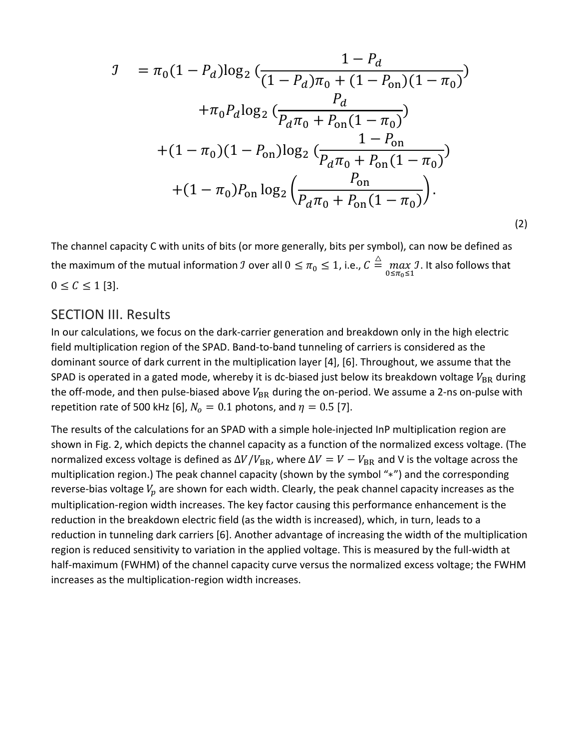$$
J = \pi_0 (1 - P_d) \log_2 \left( \frac{1 - P_d}{(1 - P_d)\pi_0 + (1 - P_{on})(1 - \pi_0)} \right)
$$
  
+ 
$$
\pi_0 P_d \log_2 \left( \frac{P_d}{P_d \pi_0 + P_{on}(1 - \pi_0)} \right)
$$
  
+ 
$$
(1 - \pi_0)(1 - P_{on}) \log_2 \left( \frac{1 - P_{on}}{P_d \pi_0 + P_{on}(1 - \pi_0)} \right)
$$
  
+ 
$$
(1 - \pi_0) P_{on} \log_2 \left( \frac{P_{on}}{P_d \pi_0 + P_{on}(1 - \pi_0)} \right).
$$

(2)

The channel capacity C with units of bits (or more generally, bits per symbol), can now be defined as the maximum of the mutual information  $\beta$  over all  $0\leq\pi_0\leq 1$ , i.e.,  $\mathcal{C}\stackrel{\triangle}{=}\max\limits_{0\leq\pi_0\leq 1}$ . It also follows that  $0 \le C \le 1$  [3].

#### SECTION III. Results

In our calculations, we focus on the dark-carrier generation and breakdown only in the high electric field multiplication region of the SPAD. Band-to-band tunneling of carriers is considered as the dominant source of dark current in the multiplication layer [4], [6]. Throughout, we assume that the SPAD is operated in a gated mode, whereby it is dc-biased just below its breakdown voltage  $V_{BR}$  during the off-mode, and then pulse-biased above  $V_{BR}$  during the on-period. We assume a 2-ns on-pulse with repetition rate of 500 kHz [6],  $N_o = 0.1$  photons, and  $\eta = 0.5$  [7].

The results of the calculations for an SPAD with a simple hole-injected InP multiplication region are shown in Fig. 2, which depicts the channel capacity as a function of the normalized excess voltage. (The normalized excess voltage is defined as  $\Delta V / V_{BR}$ , where  $\Delta V = V - V_{BR}$  and V is the voltage across the multiplication region.) The peak channel capacity (shown by the symbol "∗") and the corresponding reverse-bias voltage  $V_n$  are shown for each width. Clearly, the peak channel capacity increases as the multiplication-region width increases. The key factor causing this performance enhancement is the reduction in the breakdown electric field (as the width is increased), which, in turn, leads to a reduction in tunneling dark carriers [6]. Another advantage of increasing the width of the multiplication region is reduced sensitivity to variation in the applied voltage. This is measured by the full-width at half-maximum (FWHM) of the channel capacity curve versus the normalized excess voltage; the FWHM increases as the multiplication-region width increases.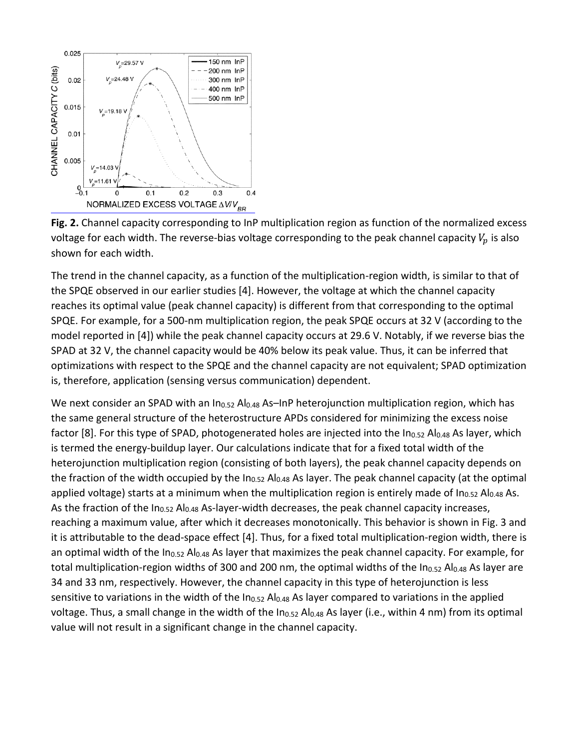



The trend in the channel capacity, as a function of the multiplication-region width, is similar to that of the SPQE observed in our earlier studies [4]. However, the voltage at which the channel capacity reaches its optimal value (peak channel capacity) is different from that corresponding to the optimal SPQE. For example, for a 500-nm multiplication region, the peak SPQE occurs at 32 V (according to the model reported in [4]) while the peak channel capacity occurs at 29.6 V. Notably, if we reverse bias the SPAD at 32 V, the channel capacity would be 40% below its peak value. Thus, it can be inferred that optimizations with respect to the SPQE and the channel capacity are not equivalent; SPAD optimization is, therefore, application (sensing versus communication) dependent.

We next consider an SPAD with an In<sub>0.52</sub> Al<sub>0.48</sub> As-InP heterojunction multiplication region, which has the same general structure of the heterostructure APDs considered for minimizing the excess noise factor [8]. For this type of SPAD, photogenerated holes are injected into the  $In_{0.52}$  Al<sub>0.48</sub> As layer, which is termed the energy-buildup layer. Our calculations indicate that for a fixed total width of the heterojunction multiplication region (consisting of both layers), the peak channel capacity depends on the fraction of the width occupied by the  $In_{0.52}$  Al $_{0.48}$  As layer. The peak channel capacity (at the optimal applied voltage) starts at a minimum when the multiplication region is entirely made of  $In_{0.52}$  Al<sub>0.48</sub> As. As the fraction of the In<sub>0.52</sub> Al<sub>0.48</sub> As-layer-width decreases, the peak channel capacity increases, reaching a maximum value, after which it decreases monotonically. This behavior is shown in Fig. 3 and it is attributable to the dead-space effect [4]. Thus, for a fixed total multiplication-region width, there is an optimal width of the  $In_{0.52}$  Al<sub>0.48</sub> As layer that maximizes the peak channel capacity. For example, for total multiplication-region widths of 300 and 200 nm, the optimal widths of the In<sub>0.52</sub> Al<sub>0.48</sub> As layer are 34 and 33 nm, respectively. However, the channel capacity in this type of heterojunction is less sensitive to variations in the width of the In<sub>0.52</sub> Al<sub>0.48</sub> As layer compared to variations in the applied voltage. Thus, a small change in the width of the  $In_{0.52}$  Al<sub>0.48</sub> As layer (i.e., within 4 nm) from its optimal value will not result in a significant change in the channel capacity.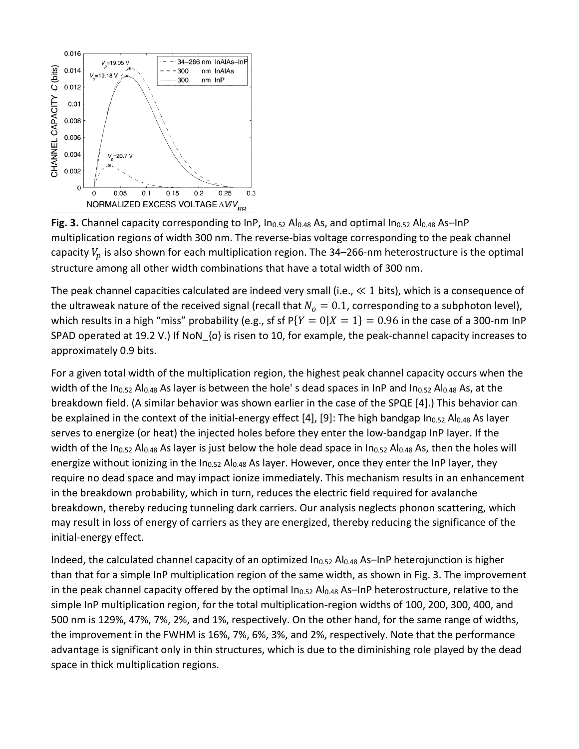

**Fig. 3.** Channel capacity corresponding to InP, In<sub>0.52</sub> Al<sub>0.48</sub> As, and optimal In<sub>0.52</sub> Al<sub>0.48</sub> As–InP multiplication regions of width 300 nm. The reverse-bias voltage corresponding to the peak channel capacity  $V_n$  is also shown for each multiplication region. The 34–266-nm heterostructure is the optimal structure among all other width combinations that have a total width of 300 nm.

The peak channel capacities calculated are indeed very small (i.e.,  $\ll 1$  bits), which is a consequence of the ultraweak nature of the received signal (recall that  $N<sub>o</sub> = 0.1$ , corresponding to a subphoton level), which results in a high "miss" probability (e.g., sf sf  $P{Y = 0|X = 1} = 0.96$  in the case of a 300-nm InP SPAD operated at 19.2 V.) If NoN {o} is risen to 10, for example, the peak-channel capacity increases to approximately 0.9 bits.

For a given total width of the multiplication region, the highest peak channel capacity occurs when the width of the In<sub>0.52</sub> Al<sub>0.48</sub> As layer is between the hole' s dead spaces in InP and In<sub>0.52</sub> Al<sub>0.48</sub> As, at the breakdown field. (A similar behavior was shown earlier in the case of the SPQE [4].) This behavior can be explained in the context of the initial-energy effect [4], [9]: The high bandgap In<sub>0.52</sub> Al<sub>0.48</sub> As layer serves to energize (or heat) the injected holes before they enter the low-bandgap InP layer. If the width of the In<sub>0.52</sub> Al<sub>0.48</sub> As layer is just below the hole dead space in In<sub>0.52</sub> Al<sub>0.48</sub> As, then the holes will energize without ionizing in the In<sub>0.52</sub> Al<sub>0.48</sub> As layer. However, once they enter the InP layer, they require no dead space and may impact ionize immediately. This mechanism results in an enhancement in the breakdown probability, which in turn, reduces the electric field required for avalanche breakdown, thereby reducing tunneling dark carriers. Our analysis neglects phonon scattering, which may result in loss of energy of carriers as they are energized, thereby reducing the significance of the initial-energy effect.

Indeed, the calculated channel capacity of an optimized  $In_{0.52}$  Al $_{0.48}$  As-InP heterojunction is higher than that for a simple InP multiplication region of the same width, as shown in Fig. 3. The improvement in the peak channel capacity offered by the optimal  $In_{0.52}$  Al $_{0.48}$  As-InP heterostructure, relative to the simple InP multiplication region, for the total multiplication-region widths of 100, 200, 300, 400, and 500 nm is 129%, 47%, 7%, 2%, and 1%, respectively. On the other hand, for the same range of widths, the improvement in the FWHM is 16%, 7%, 6%, 3%, and 2%, respectively. Note that the performance advantage is significant only in thin structures, which is due to the diminishing role played by the dead space in thick multiplication regions.